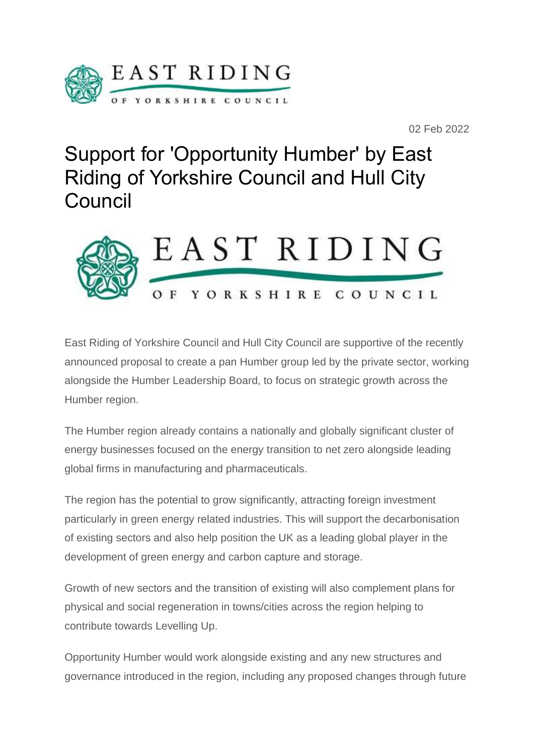

02 Feb 2022

Support for 'Opportunity Humber' by East Riding of Yorkshire Council and Hull City Council



East Riding of Yorkshire Council and Hull City Council are supportive of the recently announced proposal to create a pan Humber group led by the private sector, working alongside the Humber Leadership Board, to focus on strategic growth across the Humber region.

The Humber region already contains a nationally and globally significant cluster of energy businesses focused on the energy transition to net zero alongside leading global firms in manufacturing and pharmaceuticals.

The region has the potential to grow significantly, attracting foreign investment particularly in green energy related industries. This will support the decarbonisation of existing sectors and also help position the UK as a leading global player in the development of green energy and carbon capture and storage.

Growth of new sectors and the transition of existing will also complement plans for physical and social regeneration in towns/cities across the region helping to contribute towards Levelling Up.

Opportunity Humber would work alongside existing and any new structures and governance introduced in the region, including any proposed changes through future